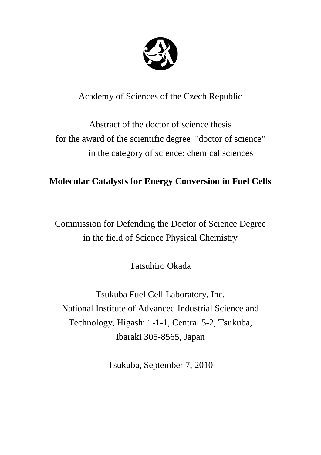

Academy of Sciences of the Czech Republic

Abstract of the doctor of science thesis for the award of the scientific degree "doctor of science" in the category of science: chemical sciences

# **Molecular Catalysts for Energy Conversion in Fuel Cells**

Commission for Defending the Doctor of Science Degree in the field of Science Physical Chemistry

Tatsuhiro Okada

Tsukuba Fuel Cell Laboratory, Inc. National Institute of Advanced Industrial Science and Technology, Higashi 1-1-1, Central 5-2, Tsukuba, Ibaraki 305-8565, Japan

Tsukuba, September 7, 2010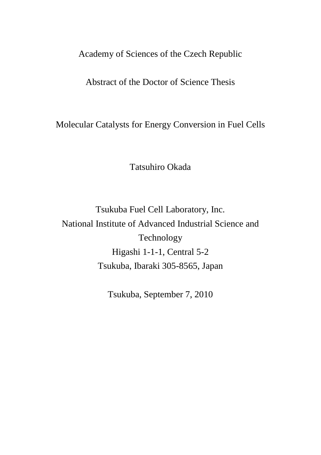## Academy of Sciences of the Czech Republic

### Abstract of the Doctor of Science Thesis

Molecular Catalysts for Energy Conversion in Fuel Cells

Tatsuhiro Okada

Tsukuba Fuel Cell Laboratory, Inc. National Institute of Advanced Industrial Science and Technology Higashi 1-1-1, Central 5-2 Tsukuba, Ibaraki 305-8565, Japan

Tsukuba, September 7, 2010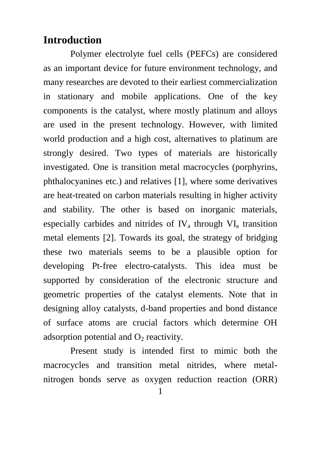## **Introduction**

Polymer electrolyte fuel cells (PEFCs) are considered as an important device for future environment technology, and many researches are devoted to their earliest commercialization in stationary and mobile applications. One of the key components is the catalyst, where mostly platinum and alloys are used in the present technology. However, with limited world production and a high cost, alternatives to platinum are strongly desired. Two types of materials are historically investigated. One is transition metal macrocycles (porphyrins, phthalocyanines etc.) and relatives [1], where some derivatives are heat-treated on carbon materials resulting in higher activity and stability. The other is based on inorganic materials, especially carbides and nitrides of  $IV_a$  through  $VI_a$  transition metal elements [2]. Towards its goal, the strategy of bridging these two materials seems to be a plausible option for developing Pt-free electro-catalysts. This idea must be supported by consideration of the electronic structure and geometric properties of the catalyst elements. Note that in designing alloy catalysts, d-band properties and bond distance of surface atoms are crucial factors which determine OH adsorption potential and  $O_2$  reactivity.

Present study is intended first to mimic both the macrocycles and transition metal nitrides, where metalnitrogen bonds serve as oxygen reduction reaction (ORR)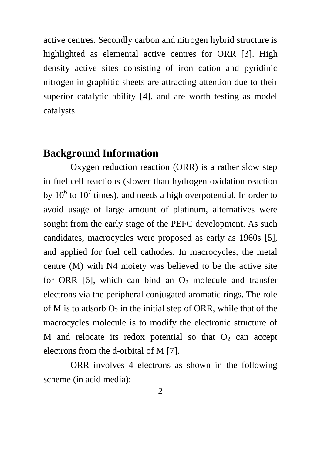active centres. Secondly carbon and nitrogen hybrid structure is highlighted as elemental active centres for ORR [3]. High density active sites consisting of iron cation and pyridinic nitrogen in graphitic sheets are attracting attention due to their superior catalytic ability [4], and are worth testing as model catalysts.

### **Background Information**

Oxygen reduction reaction (ORR) is a rather slow step in fuel cell reactions (slower than hydrogen oxidation reaction by  $10^6$  to  $10^7$  times), and needs a high overpotential. In order to avoid usage of large amount of platinum, alternatives were sought from the early stage of the PEFC development. As such candidates, macrocycles were proposed as early as 1960s [5], and applied for fuel cell cathodes. In macrocycles, the metal centre (M) with N4 moiety was believed to be the active site for ORR [6], which can bind an  $O_2$  molecule and transfer electrons via the peripheral conjugated aromatic rings. The role of M is to adsorb  $O_2$  in the initial step of ORR, while that of the macrocycles molecule is to modify the electronic structure of M and relocate its redox potential so that  $O_2$  can accept electrons from the d-orbital of M [7].

ORR involves 4 electrons as shown in the following scheme (in acid media):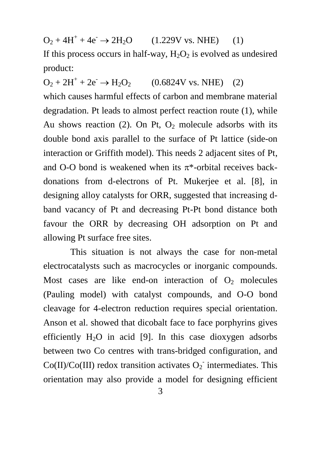$O_2 + 4H^+ + 4e^- \rightarrow 2H_2O$  (1.229V vs. NHE) (1) If this process occurs in half-way,  $H_2O_2$  is evolved as undesired product:

 $O_2 + 2H^+ + 2e^- \rightarrow H_2O_2$  (0.6824V vs. NHE) (2) which causes harmful effects of carbon and membrane material degradation. Pt leads to almost perfect reaction route (1), while Au shows reaction (2). On Pt,  $O<sub>2</sub>$  molecule adsorbs with its double bond axis parallel to the surface of Pt lattice (side-on interaction or Griffith model). This needs 2 adjacent sites of Pt, and O-O bond is weakened when its  $\pi^*$ -orbital receives backdonations from d-electrons of Pt. Mukerjee et al. [8], in designing alloy catalysts for ORR, suggested that increasing dband vacancy of Pt and decreasing Pt-Pt bond distance both favour the ORR by decreasing OH adsorption on Pt and allowing Pt surface free sites.

This situation is not always the case for non-metal electrocatalysts such as macrocycles or inorganic compounds. Most cases are like end-on interaction of  $O_2$  molecules (Pauling model) with catalyst compounds, and O-O bond cleavage for 4-electron reduction requires special orientation. Anson et al. showed that dicobalt face to face porphyrins gives efficiently  $H_2O$  in acid [9]. In this case dioxygen adsorbs between two Co centres with trans-bridged configuration, and  $Co(II)/Co(III)$  redox transition activates  $O_2$ <sup>-</sup> intermediates. This orientation may also provide a model for designing efficient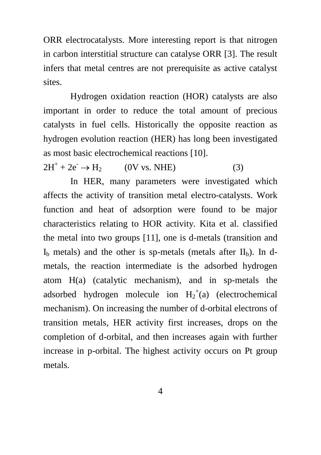ORR electrocatalysts. More interesting report is that nitrogen in carbon interstitial structure can catalyse ORR [3]. The result infers that metal centres are not prerequisite as active catalyst sites.

Hydrogen oxidation reaction (HOR) catalysts are also important in order to reduce the total amount of precious catalysts in fuel cells. Historically the opposite reaction as hydrogen evolution reaction (HER) has long been investigated as most basic electrochemical reactions [10].

 $2H^{+} + 2e^{-} \rightarrow H_{2}$  (0V vs. NHE) (3)

In HER, many parameters were investigated which affects the activity of transition metal electro-catalysts. Work function and heat of adsorption were found to be major characteristics relating to HOR activity. Kita et al. classified the metal into two groups [11], one is d-metals (transition and  $I<sub>b</sub>$  metals) and the other is sp-metals (metals after  $II<sub>b</sub>$ ). In dmetals, the reaction intermediate is the adsorbed hydrogen atom H(a) (catalytic mechanism), and in sp-metals the adsorbed hydrogen molecule ion  $H_2^+(a)$  (electrochemical mechanism). On increasing the number of d-orbital electrons of transition metals, HER activity first increases, drops on the completion of d-orbital, and then increases again with further increase in p-orbital. The highest activity occurs on Pt group metals.

4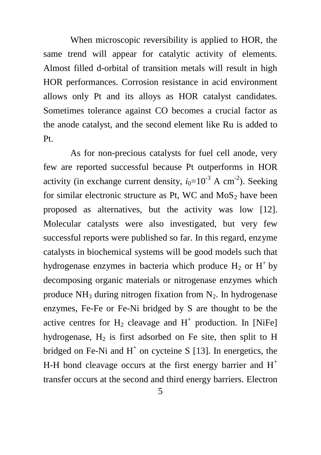When microscopic reversibility is applied to HOR, the same trend will appear for catalytic activity of elements. Almost filled d-orbital of transition metals will result in high HOR performances. Corrosion resistance in acid environment allows only Pt and its alloys as HOR catalyst candidates. Sometimes tolerance against CO becomes a crucial factor as the anode catalyst, and the second element like Ru is added to Pt.

As for non-precious catalysts for fuel cell anode, very few are reported successful because Pt outperforms in HOR activity (in exchange current density,  $i_0=10^{-3}$  A cm<sup>-2</sup>). Seeking for similar electronic structure as Pt, WC and  $MoS<sub>2</sub>$  have been proposed as alternatives, but the activity was low [12]. Molecular catalysts were also investigated, but very few successful reports were published so far. In this regard, enzyme catalysts in biochemical systems will be good models such that hydrogenase enzymes in bacteria which produce  $H_2$  or  $H^+$  by decomposing organic materials or nitrogenase enzymes which produce  $NH_3$  during nitrogen fixation from  $N_2$ . In hydrogenase enzymes, Fe-Fe or Fe-Ni bridged by S are thought to be the active centres for  $H_2$  cleavage and  $H^+$  production. In [NiFe] hydrogenase,  $H_2$  is first adsorbed on Fe site, then split to H bridged on Fe-Ni and  $H^+$  on cycteine S [13]. In energetics, the H-H bond cleavage occurs at the first energy barrier and  $H^+$ transfer occurs at the second and third energy barriers. Electron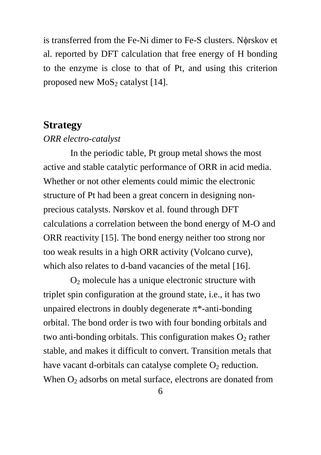is transferred from the Fe-Ni dimer to Fe-S clusters. Norskov et al. reported by DFT calculation that free energy of H bonding to the enzyme is close to that of Pt, and using this criterion proposed new  $MoS<sub>2</sub>$  catalyst [14].

## **Strategy**

#### *ORR electro-catalyst*

In the periodic table, Pt group metal shows the most active and stable catalytic performance of ORR in acid media. Whether or not other elements could mimic the electronic structure of Pt had been a great concern in designing nonprecious catalysts. Nørskov et al. found through DFT calculations a correlation between the bond energy of M-O and ORR reactivity [15]. The bond energy neither too strong nor too weak results in a high ORR activity (Volcano curve), which also relates to d-band vacancies of the metal [16].

O<sup>2</sup> molecule has a unique electronic structure with triplet spin configuration at the ground state, i.e., it has two unpaired electrons in doubly degenerate  $\pi^*$ -anti-bonding orbital. The bond order is two with four bonding orbitals and two anti-bonding orbitals. This configuration makes  $O_2$  rather stable, and makes it difficult to convert. Transition metals that have vacant d-orbitals can catalyse complete  $O<sub>2</sub>$  reduction. When  $O<sub>2</sub>$  adsorbs on metal surface, electrons are donated from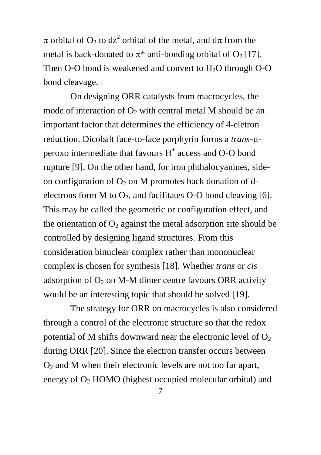$\pi$  orbital of O<sub>2</sub> to dz<sup>2</sup> orbital of the metal, and d $\pi$  from the metal is back-donated to  $\pi^*$  anti-bonding orbital of  $O_2$  [17]. Then O-O bond is weakened and convert to  $H<sub>2</sub>O$  through O-O bond cleavage.

On designing ORR catalysts from macrocycles, the mode of interaction of  $O_2$  with central metal M should be an important factor that determines the efficiency of 4-eletron reduction. Dicobalt face-to-face porphyrin forms a *trans*- $\mu$ peroxo intermediate that favours H<sup>+</sup> access and O-O bond rupture [9]. On the other hand, for iron phthalocyanines, sideon configuration of  $O_2$  on M promotes back donation of delectrons form M to  $O_2$ , and facilitates O-O bond cleaving [6]. This may be called the geometric or configuration effect, and the orientation of  $O_2$  against the metal adsorption site should be controlled by designing ligand structures. From this consideration binuclear complex rather than mononuclear complex is chosen for synthesis [18]. Whether *trans* or *cis* adsorption of  $O_2$  on M-M dimer centre favours ORR activity would be an interesting topic that should be solved [19].

The strategy for ORR on macrocycles is also considered through a control of the electronic structure so that the redox potential of M shifts downward near the electronic level of  $O_2$ during ORR [20]. Since the electron transfer occurs between  $O<sub>2</sub>$  and M when their electronic levels are not too far apart, energy of  $O<sub>2</sub>$  HOMO (highest occupied molecular orbital) and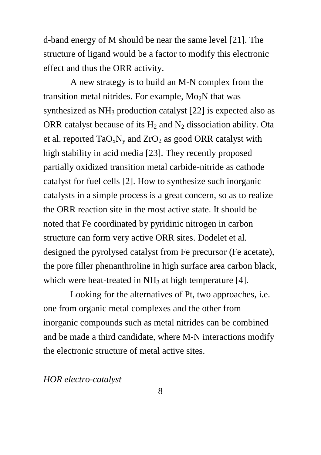d-band energy of M should be near the same level [21]. The structure of ligand would be a factor to modify this electronic effect and thus the ORR activity.

A new strategy is to build an M-N complex from the transition metal nitrides. For example,  $Mo<sub>2</sub>N$  that was synthesized as  $NH_3$  production catalyst [22] is expected also as ORR catalyst because of its  $H_2$  and  $N_2$  dissociation ability. Ota et al. reported  $TaO_xN_y$  and  $ZrO_2$  as good ORR catalyst with high stability in acid media [23]. They recently proposed partially oxidized transition metal carbide-nitride as cathode catalyst for fuel cells [2]. How to synthesize such inorganic catalysts in a simple process is a great concern, so as to realize the ORR reaction site in the most active state. It should be noted that Fe coordinated by pyridinic nitrogen in carbon structure can form very active ORR sites. Dodelet et al. designed the pyrolysed catalyst from Fe precursor (Fe acetate), the pore filler phenanthroline in high surface area carbon black, which were heat-treated in  $NH<sub>3</sub>$  at high temperature [4].

Looking for the alternatives of Pt, two approaches, i.e. one from organic metal complexes and the other from inorganic compounds such as metal nitrides can be combined and be made a third candidate, where M-N interactions modify the electronic structure of metal active sites.

#### *HOR electro-catalyst*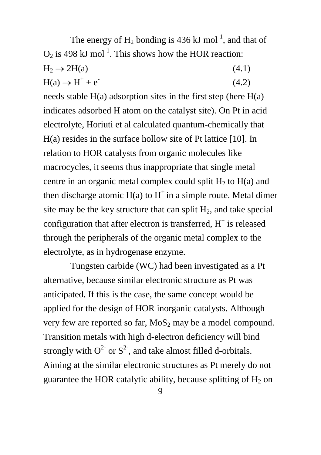The energy of  $H_2$  bonding is 436 kJ mol<sup>-1</sup>, and that of  $O_2$  is 498 kJ mol<sup>-1</sup>. This shows how the HOR reaction:

 $H_2 \rightarrow 2H(a)$  (4.1)  $H(a) \rightarrow H^+ + e^-$ (4.2)

needs stable  $H(a)$  adsorption sites in the first step (here  $H(a)$ ) indicates adsorbed H atom on the catalyst site). On Pt in acid electrolyte, Horiuti et al calculated quantum-chemically that H(a) resides in the surface hollow site of Pt lattice [10]. In relation to HOR catalysts from organic molecules like macrocycles, it seems thus inappropriate that single metal centre in an organic metal complex could split  $H_2$  to  $H(a)$  and then discharge atomic  $H(a)$  to  $H^+$  in a simple route. Metal dimer site may be the key structure that can split  $H_2$ , and take special configuration that after electron is transferred,  $H^+$  is released through the peripherals of the organic metal complex to the electrolyte, as in hydrogenase enzyme.

Tungsten carbide (WC) had been investigated as a Pt alternative, because similar electronic structure as Pt was anticipated. If this is the case, the same concept would be applied for the design of HOR inorganic catalysts. Although very few are reported so far,  $MoS<sub>2</sub>$  may be a model compound. Transition metals with high d-electron deficiency will bind strongly with  $O^{2-}$  or  $S^{2-}$ , and take almost filled d-orbitals. Aiming at the similar electronic structures as Pt merely do not guarantee the HOR catalytic ability, because splitting of  $H_2$  on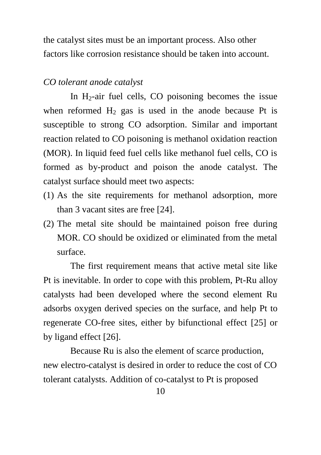the catalyst sites must be an important process. Also other factors like corrosion resistance should be taken into account.

#### *CO tolerant anode catalyst*

In  $H_2$ -air fuel cells, CO poisoning becomes the issue when reformed  $H_2$  gas is used in the anode because Pt is susceptible to strong CO adsorption. Similar and important reaction related to CO poisoning is methanol oxidation reaction (MOR). In liquid feed fuel cells like methanol fuel cells, CO is formed as by-product and poison the anode catalyst. The catalyst surface should meet two aspects:

- (1) As the site requirements for methanol adsorption, more than 3 vacant sites are free [24].
- (2) The metal site should be maintained poison free during MOR. CO should be oxidized or eliminated from the metal surface.

The first requirement means that active metal site like Pt is inevitable. In order to cope with this problem, Pt-Ru alloy catalysts had been developed where the second element Ru adsorbs oxygen derived species on the surface, and help Pt to regenerate CO-free sites, either by bifunctional effect [25] or by ligand effect [26].

Because Ru is also the element of scarce production, new electro-catalyst is desired in order to reduce the cost of CO tolerant catalysts. Addition of co-catalyst to Pt is proposed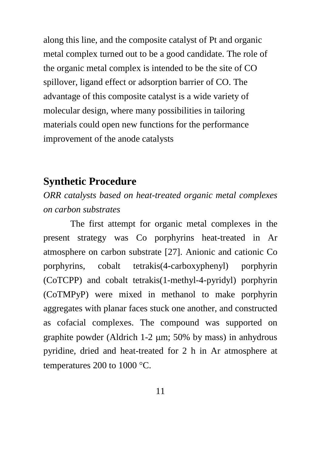along this line, and the composite catalyst of Pt and organic metal complex turned out to be a good candidate. The role of the organic metal complex is intended to be the site of CO spillover, ligand effect or adsorption barrier of CO. The advantage of this composite catalyst is a wide variety of molecular design, where many possibilities in tailoring materials could open new functions for the performance improvement of the anode catalysts

## **Synthetic Procedure**

*ORR catalysts based on heat-treated organic metal complexes on carbon substrates*

The first attempt for organic metal complexes in the present strategy was Co porphyrins heat-treated in Ar atmosphere on carbon substrate [27]. Anionic and cationic Co porphyrins, cobalt tetrakis(4-carboxyphenyl) porphyrin (CoTCPP) and cobalt tetrakis(1-methyl-4-pyridyl) porphyrin (CoTMPyP) were mixed in methanol to make porphyrin aggregates with planar faces stuck one another, and constructed as cofacial complexes. The compound was supported on graphite powder (Aldrich 1-2 m; 50% by mass) in anhydrous pyridine, dried and heat-treated for 2 h in Ar atmosphere at temperatures 200 to 1000  $\degree$ C.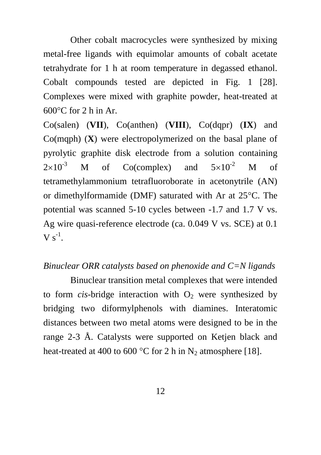Other cobalt macrocycles were synthesized by mixing metal-free ligands with equimolar amounts of cobalt acetate tetrahydrate for 1 h at room temperature in degassed ethanol. Cobalt compounds tested are depicted in Fig. 1 [28]. Complexes were mixed with graphite powder, heat-treated at  $600^{\circ}$ C for 2 h in Ar.

Co(salen) (**VII**), Co(anthen) (**VIII**), Co(dqpr) (**IX**) and Co(mqph) (**X**) were electropolymerized on the basal plane of pyrolytic graphite disk electrode from a solution containing  $2\times10^{-3}$  M of Co(complex) and  $5\times10^{-2}$  M of tetramethylammonium tetrafluoroborate in acetonytrile (AN) or dimethylformamide (DMF) saturated with Ar at  $25^{\circ}$ C. The potential was scanned 5-10 cycles between -1.7 and 1.7 V vs. Ag wire quasi-reference electrode (ca. 0.049 V vs. SCE) at 0.1  $V s^{-1}$ .

### *Binuclear ORR catalysts based on phenoxide and C=N ligands*

Binuclear transition metal complexes that were intended to form *cis*-bridge interaction with  $O<sub>2</sub>$  were synthesized by bridging two diformylphenols with diamines. Interatomic distances between two metal atoms were designed to be in the range 2-3 Å. Catalysts were supported on Ketjen black and heat-treated at 400 to 600 °C for 2 h in  $N_2$  atmosphere [18].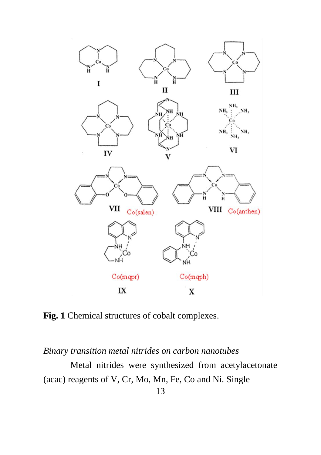

**Fig. 1** Chemical structures of cobalt complexes.

*Binary transition metal nitrides on carbon nanotubes*

Metal nitrides were synthesized from acetylacetonate (acac) reagents of V, Cr, Mo, Mn, Fe, Co and Ni. Single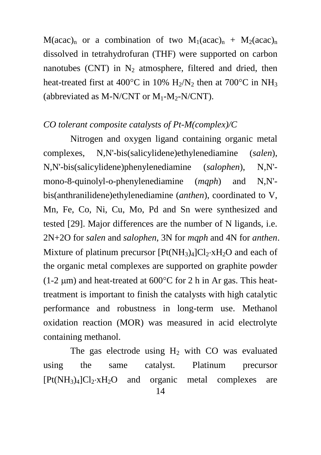$M(acac)<sub>n</sub>$  or a combination of two  $M_1(acac)<sub>n</sub> + M_2(acac)<sub>n</sub>$ dissolved in tetrahydrofuran (THF) were supported on carbon nanotubes (CNT) in  $N_2$  atmosphere, filtered and dried, then heat-treated first at 400 $^{\circ}$ C in 10% H<sub>2</sub>/N<sub>2</sub> then at 700 $^{\circ}$ C in NH<sub>3</sub> (abbreviated as M-N/CNT or  $M_1-M_2-N/CNT$ ).

#### *CO tolerant composite catalysts of Pt-M(complex)/C*

Nitrogen and oxygen ligand containing organic metal complexes, N,N'-bis(salicylidene)ethylenediamine (*salen*), N,N'-bis(salicylidene)phenylenediamine (*salophen*), N,N' mono-8-quinolyl-o-phenylenediamine (*mqph*) and N,N' bis(anthranilidene)ethylenediamine (*anthen*), coordinated to V, Mn, Fe, Co, Ni, Cu, Mo, Pd and Sn were synthesized and tested [29]. Major differences are the number of N ligands, i.e. 2N+2O for *salen* and *salophen*, 3N for *mqph* and 4N for *anthen*. Mixture of platinum precursor  $[Pt(NH<sub>3</sub>)<sub>4</sub>]Cl<sub>2</sub>·xH<sub>2</sub>O$  and each of the organic metal complexes are supported on graphite powder (1-2  $\mu$ m) and heat-treated at 600 $^{\circ}$ C for 2 h in Ar gas. This heattreatment is important to finish the catalysts with high catalytic performance and robustness in long-term use. Methanol oxidation reaction (MOR) was measured in acid electrolyte containing methanol.

The gas electrode using  $H_2$  with CO was evaluated using the same catalyst. Platinum precursor  $[Pt(NH<sub>3</sub>)<sub>4</sub>]Cl<sub>2</sub>·xH<sub>2</sub>O$  and organic metal complexes are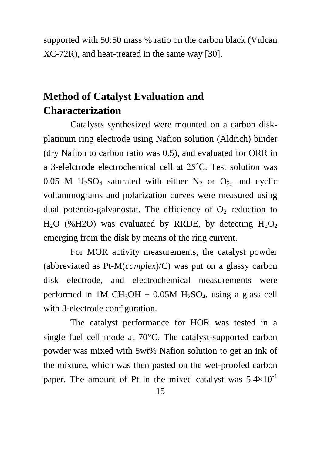supported with 50:50 mass % ratio on the carbon black (Vulcan XC-72R), and heat-treated in the same way [30].

# **Method of Catalyst Evaluation and Characterization**

Catalysts synthesized were mounted on a carbon diskplatinum ring electrode using Nafion solution (Aldrich) binder (dry Nafion to carbon ratio was 0.5), and evaluated for ORR in a 3-elelctrode electrochemical cell at 25˚C. Test solution was 0.05 M  $H<sub>2</sub>SO<sub>4</sub>$  saturated with either N<sub>2</sub> or O<sub>2</sub>, and cyclic voltammograms and polarization curves were measured using dual potentio-galvanostat. The efficiency of  $O<sub>2</sub>$  reduction to  $H<sub>2</sub>O$  (%H2O) was evaluated by RRDE, by detecting  $H<sub>2</sub>O<sub>2</sub>$ emerging from the disk by means of the ring current.

For MOR activity measurements, the catalyst powder (abbreviated as Pt-M(*complex*)/C) was put on a glassy carbon disk electrode, and electrochemical measurements were performed in 1M CH<sub>3</sub>OH + 0.05M H<sub>2</sub>SO<sub>4</sub>, using a glass cell with 3-electrode configuration.

The catalyst performance for HOR was tested in a single fuel cell mode at  $70^{\circ}$ C. The catalyst-supported carbon powder was mixed with 5wt% Nafion solution to get an ink of the mixture, which was then pasted on the wet-proofed carbon paper. The amount of Pt in the mixed catalyst was  $5.4\times10^{-1}$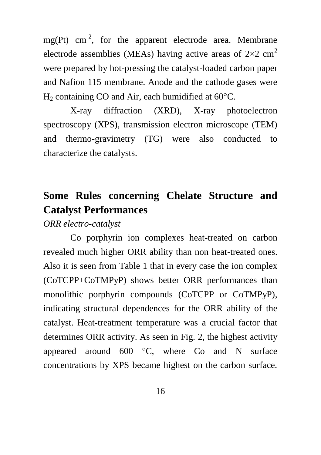$mg(Pt)$  cm<sup>-2</sup>, for the apparent electrode area. Membrane electrode assemblies (MEAs) having active areas of  $2\times2$  cm<sup>2</sup> were prepared by hot-pressing the catalyst-loaded carbon paper and Nafion 115 membrane. Anode and the cathode gases were  $H<sub>2</sub>$  containing CO and Air, each humidified at 60 $^{\circ}$ C.

X-ray diffraction (XRD), X-ray photoelectron spectroscopy (XPS), transmission electron microscope (TEM) and thermo-gravimetry (TG) were also conducted to characterize the catalysts.

# **Some Rules concerning Chelate Structure and Catalyst Performances**

*ORR electro-catalyst*

Co porphyrin ion complexes heat-treated on carbon revealed much higher ORR ability than non heat-treated ones. Also it is seen from Table 1 that in every case the ion complex (CoTCPP+CoTMPyP) shows better ORR performances than monolithic porphyrin compounds (CoTCPP or CoTMPyP), indicating structural dependences for the ORR ability of the catalyst. Heat-treatment temperature was a crucial factor that determines ORR activity. As seen in Fig. 2, the highest activity appeared around  $600 \degree$ C, where Co and N surface concentrations by XPS became highest on the carbon surface.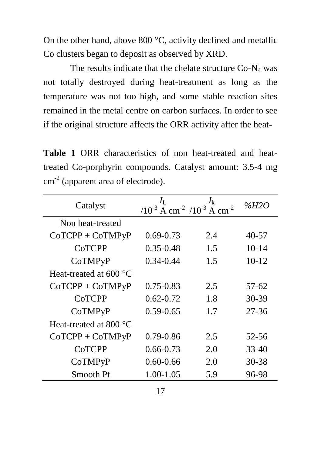On the other hand, above 800  $\degree$ C, activity declined and metallic Co clusters began to deposit as observed by XRD.

The results indicate that the chelate structure  $Co-N<sub>4</sub>$  was not totally destroyed during heat-treatment as long as the temperature was not too high, and some stable reaction sites remained in the metal centre on carbon surfaces. In order to see if the original structure affects the ORR activity after the heat-

**Table 1** ORR characteristics of non heat-treated and heattreated Co-porphyrin compounds. Catalyst amount: 3.5-4 mg  $cm<sup>-2</sup>$  (apparent area of electrode).

| Catalyst                        | $I_{\rm L}$<br>$(10^{-3} \text{ A cm}^{-2}/10^{-3} \text{ A cm}^{-2})$ | $I_{k}$ | %H2O      |
|---------------------------------|------------------------------------------------------------------------|---------|-----------|
| Non heat-treated                |                                                                        |         |           |
| $CoTCP + CoTMPyP$               | $0.69 - 0.73$                                                          | 2.4     | 40-57     |
| CoTCPP                          | $0.35 - 0.48$                                                          | 1.5     | $10 - 14$ |
| CoTMPyP                         | $0.34 - 0.44$                                                          | 1.5     | $10-12$   |
| Heat-treated at 600 $\degree$ C |                                                                        |         |           |
| $CoTCP + CoTMPyP$               | $0.75 - 0.83$                                                          | 2.5     | 57-62     |
| CoTCPP                          | $0.62 - 0.72$                                                          | 1.8     | 30-39     |
| CoTMPyP                         | $0.59 - 0.65$                                                          | 1.7     | 27-36     |
| Heat-treated at 800 $\degree$ C |                                                                        |         |           |
| $CoTCP + CoTMPyP$               | $0.79 - 0.86$                                                          | 2.5     | 52-56     |
| CoTCPP                          | $0.66 - 0.73$                                                          | 2.0     | $33 - 40$ |
| CoTMPyP                         | $0.60 - 0.66$                                                          | 2.0     | 30-38     |
| Smooth Pt                       | 1.00-1.05                                                              | 5.9     | 96-98     |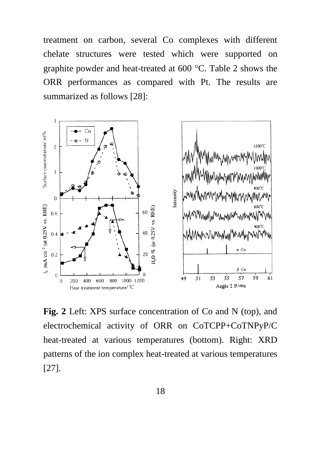treatment on carbon, several Co complexes with different chelate structures were tested which were supported on graphite powder and heat-treated at  $600 \degree C$ . Table 2 shows the ORR performances as compared with Pt. The results are summarized as follows [28]:



**Fig. 2** Left: XPS surface concentration of Co and N (top), and electrochemical activity of ORR on CoTCPP+CoTNPyP/C heat-treated at various temperatures (bottom). Right: XRD patterns of the ion complex heat-treated at various temperatures [27].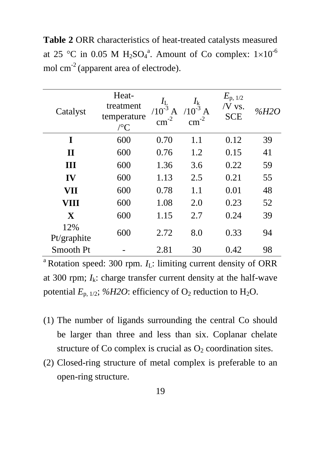**Table 2** ORR characteristics of heat-treated catalysts measured at 25 °C in 0.05 M H<sub>2</sub>SO<sub>4</sub><sup>a</sup>. Amount of Co complex:  $1\times10^{-6}$ mol cm-2 (apparent area of electrode).

| Catalyst           | Heat-<br>treatment<br>temperature<br>$\sqrt{\rm ^oC}$ | $I_{\rm L}$<br>$/10^{-3}$<br>A<br>$\text{cm}^{-2}$ | $I_{k}$<br>$/10^{-3}$<br>A<br>$\text{cm}^{-2}$ | $E_{\rm p, 1/2}$<br>/V vs.<br><b>SCE</b> | %H2O |
|--------------------|-------------------------------------------------------|----------------------------------------------------|------------------------------------------------|------------------------------------------|------|
| I                  | 600                                                   | 0.70                                               | 1.1                                            | 0.12                                     | 39   |
| $\mathbf H$        | 600                                                   | 0.76                                               | 1.2                                            | 0.15                                     | 41   |
| Ш                  | 600                                                   | 1.36                                               | 3.6                                            | 0.22                                     | 59   |
| IV                 | 600                                                   | 1.13                                               | 2.5                                            | 0.21                                     | 55   |
| VII                | 600                                                   | 0.78                                               | 1.1                                            | 0.01                                     | 48   |
| VIII               | 600                                                   | 1.08                                               | 2.0                                            | 0.23                                     | 52   |
| $\mathbf{X}$       | 600                                                   | 1.15                                               | 2.7                                            | 0.24                                     | 39   |
| 12%<br>Pt/graphite | 600                                                   | 2.72                                               | 8.0                                            | 0.33                                     | 94   |
| Smooth Pt          |                                                       | 2.81                                               | 30                                             | 0.42                                     | 98   |

<sup>a</sup> Rotation speed: 300 rpm.  $I_L$ : limiting current density of ORR at 300 rpm;  $I_k$ : charge transfer current density at the half-wave potential  $E_{\text{p, }1/2}$ ; %*H2O*: efficiency of O<sub>2</sub> reduction to H<sub>2</sub>O.

- (1) The number of ligands surrounding the central Co should be larger than three and less than six. Coplanar chelate structure of Co complex is crucial as  $O_2$  coordination sites.
- (2) Closed-ring structure of metal complex is preferable to an open-ring structure.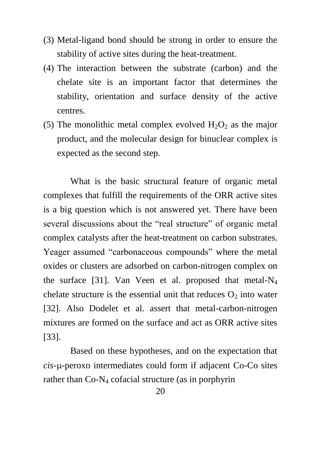- (3) Metal-ligand bond should be strong in order to ensure the stability of active sites during the heat-treatment.
- (4) The interaction between the substrate (carbon) and the chelate site is an important factor that determines the stability, orientation and surface density of the active centres.
- (5) The monolithic metal complex evolved  $H_2O_2$  as the major product, and the molecular design for binuclear complex is expected as the second step.

What is the basic structural feature of organic metal complexes that fulfill the requirements of the ORR active sites is a big question which is not answered yet. There have been several discussions about the "real structure" of organic metal complex catalysts after the heat-treatment on carbon substrates. Yeager assumed "carbonaceous compounds" where the metal oxides or clusters are adsorbed on carbon-nitrogen complex on the surface [31]. Van Veen et al. proposed that metal- $N_4$ chelate structure is the essential unit that reduces  $O<sub>2</sub>$  into water [32]. Also Dodelet et al. assert that metal-carbon-nitrogen mixtures are formed on the surface and act as ORR active sites [33].

Based on these hypotheses, and on the expectation that *cis*--peroxo intermediates could form if adjacent Co-Co sites rather than Co-N<sup>4</sup> cofacial structure (as in porphyrin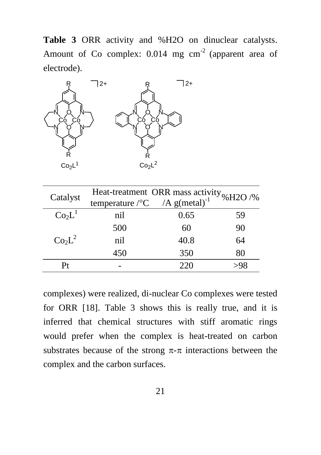**Table 3** ORR activity and %H2O on dinuclear catalysts. Amount of Co complex:  $0.014$  mg cm<sup>-2</sup> (apparent area of electrode).



| Catalyst                       | Heat-treatment ORR mass activity $\%$ H2O /%          |      |    |
|--------------------------------|-------------------------------------------------------|------|----|
|                                | temperature / ${}^{\circ}C$ /A g(metal) <sup>-1</sup> |      |    |
| Co <sub>2</sub> L <sup>1</sup> | nil                                                   | 0.65 | 59 |
|                                | 500                                                   | 60   | 90 |
| Co <sub>2</sub> L <sup>2</sup> | nil                                                   | 40.8 | 64 |
|                                | 450                                                   | 350  | 80 |
|                                |                                                       | 220  |    |

complexes) were realized, di-nuclear Co complexes were tested for ORR [18]. Table 3 shows this is really true, and it is inferred that chemical structures with stiff aromatic rings would prefer when the complex is heat-treated on carbon substrates because of the strong  $\pi$ - $\pi$  interactions between the complex and the carbon surfaces.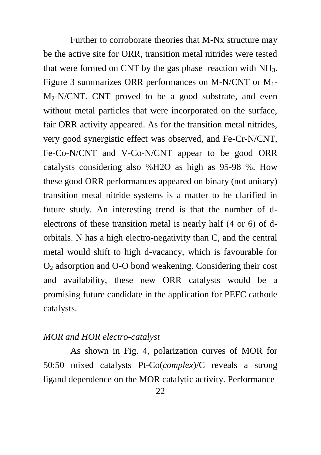Further to corroborate theories that M-Nx structure may be the active site for ORR, transition metal nitrides were tested that were formed on CNT by the gas phase reaction with  $NH<sub>3</sub>$ . Figure 3 summarizes ORR performances on M-N/CNT or M1-  $M_2-N/CNT$ . CNT proved to be a good substrate, and even without metal particles that were incorporated on the surface, fair ORR activity appeared. As for the transition metal nitrides, very good synergistic effect was observed, and Fe-Cr-N/CNT, Fe-Co-N/CNT and V-Co-N/CNT appear to be good ORR catalysts considering also %H2O as high as 95-98 %. How these good ORR performances appeared on binary (not unitary) transition metal nitride systems is a matter to be clarified in future study. An interesting trend is that the number of delectrons of these transition metal is nearly half (4 or 6) of dorbitals. N has a high electro-negativity than C, and the central metal would shift to high d-vacancy, which is favourable for O<sup>2</sup> adsorption and O-O bond weakening. Considering their cost and availability, these new ORR catalysts would be a promising future candidate in the application for PEFC cathode catalysts.

#### *MOR and HOR electro-catalyst*

As shown in Fig. 4, polarization curves of MOR for 50:50 mixed catalysts Pt-Co(*complex*)/C reveals a strong ligand dependence on the MOR catalytic activity. Performance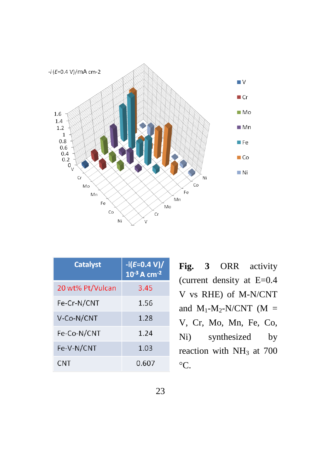

| <b>Catalyst</b>  | $-i(E=0.4 V)/$<br>$10^{-3}$ A cm <sup>-2</sup> |
|------------------|------------------------------------------------|
| 20 wt% Pt/Vulcan | 3.45                                           |
| Fe-Cr-N/CNT      | 1.56                                           |
| V-Co-N/CNT       | 1.28                                           |
| Fe-Co-N/CNT      | 1.24                                           |
| Fe-V-N/CNT       | 1.03                                           |
| CNT              | 0.607                                          |

**Fig. 3** ORR activity (current density at E=0.4 V vs RHE) of M-N/CNT and  $M_1-M_2-N/CNT$  (M = V, Cr, Mo, Mn, Fe, Co, Ni) synthesized by reaction with  $NH<sub>3</sub>$  at 700  $\rm ^{\circ}C.$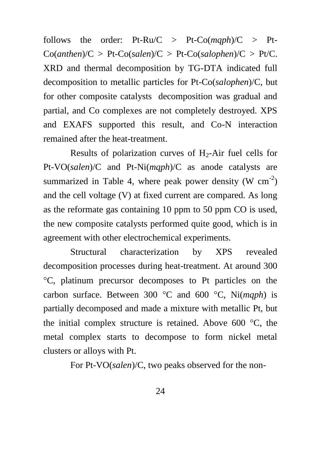follows the order:  $Pt-Ru/C > Pt-Co(maph)/C > Pt$  $Co(anthen) / C > Pt-Co(salen) / C > Pt-Co(salophen) / C > Pt / C.$ XRD and thermal decomposition by TG-DTA indicated full decomposition to metallic particles for Pt-Co(*salophen*)/C, but for other composite catalysts decomposition was gradual and partial, and Co complexes are not completely destroyed. XPS and EXAFS supported this result, and Co-N interaction remained after the heat-treatment.

Results of polarization curves of  $H_2$ -Air fuel cells for Pt-VO(*salen*)/C and Pt-Ni(*mqph*)/C as anode catalysts are summarized in Table 4, where peak power density (W  $cm^{-2}$ ) and the cell voltage (V) at fixed current are compared. As long as the reformate gas containing 10 ppm to 50 ppm CO is used, the new composite catalysts performed quite good, which is in agreement with other electrochemical experiments.

Structural characterization by XPS revealed decomposition processes during heat-treatment. At around 300 C, platinum precursor decomposes to Pt particles on the carbon surface. Between 300 °C and 600 °C. Ni*(maph*) is partially decomposed and made a mixture with metallic Pt, but the initial complex structure is retained. Above 600  $\degree$ C, the metal complex starts to decompose to form nickel metal clusters or alloys with Pt.

For Pt-VO(*salen*)/C, two peaks observed for the non-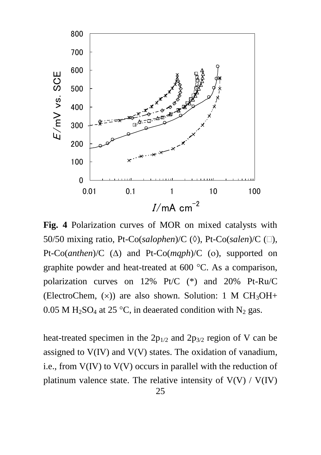

**Fig. 4** Polarization curves of MOR on mixed catalysts with 50/50 mixing ratio, Pt-Co(*salophen*)/C ( $\Diamond$ ), Pt-Co(*salen*)/C ( $\Box$ ), Pt-Co(*anthen*)/C ( $\Delta$ ) and Pt-Co(*mqph*)/C (o), supported on graphite powder and heat-treated at  $600 \degree C$ . As a comparison, polarization curves on 12% Pt/C (\*) and 20% Pt-Ru/C (ElectroChem,  $(x)$ ) are also shown. Solution: 1 M CH<sub>3</sub>OH+ 0.05 M H<sub>2</sub>SO<sub>4</sub> at 25 °C, in deaerated condition with N<sub>2</sub> gas.

heat-treated specimen in the  $2p_{1/2}$  and  $2p_{3/2}$  region of V can be assigned to V(IV) and V(V) states. The oxidation of vanadium, i.e., from V(IV) to V(V) occurs in parallel with the reduction of platinum valence state. The relative intensity of  $V(V) / V(IV)$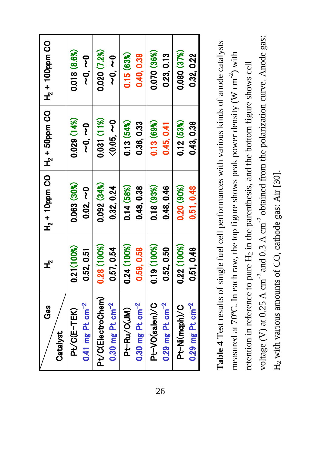| Gas                           | $\mathbf{r}$ |              |                         | $H_2$ + 10ppm CO   $H_2$ + 50ppm CO   + $H_2$ + 100ppm CO |
|-------------------------------|--------------|--------------|-------------------------|-----------------------------------------------------------|
| Catalyst                      |              |              |                         |                                                           |
| Pt/C(E-TEK)                   | 0.21(100%)   | 0.063 (30%)  | 0.029 (14%)             | 0.018 (8.6%)                                              |
| $0.41$ mg Pt cm <sup>-2</sup> | 0.52, 0.51   | $0.02, -0$   | 0<br>2<br>0<br>0<br>2   | 0<br>2<br>0<br>0<br>2                                     |
| Pt/C(ElectroChem)             | 0.28 (100%)  | 0.092 (34%)  | 0.031 (11%)             | 0.020 (7.2%)                                              |
| $0.30$ mg Pt cm $^{-2}$       | 0.57, 0.54   | 0.32, 0.24   | $\zeta 0.05$ , $\sim$ 0 | 0<br>2<br>0<br>0<br>2                                     |
| Pt-Ru/C(JM)                   | 0.24 (100%)  | 0.14 (58%)   | 0.13 (54%)              | 0.15(63%)                                                 |
| $0.30$ mg Pt cm $^{-2}$       | 0.59.0.58    | 0.48, 0.38   | 0.36, 0.33              | 0.40, 0.38                                                |
| Pt-VO(salen)/C                | 0.19 (100%)  | 0.18(93%)    | 0.13(69%)               | 0.070 (36%)                                               |
| $0.29$ mg Pt cm $^{-2}$       | 0.52, 0.50   | 0.48,0.46    | 0.45, 0.41              | 0.23, 0.13                                                |
| Pt-Ni(mqph)/C                 | 0.22 (100%)  | $0.20(90\%)$ | 0.12(53%)               | 0.080 (37%)                                               |
| $0.29$ mg Pt cm $^{-2}$       | 0.51, 0.48   | 0.51, 0.48   | 0.43, 0.38              | 0.32, 0.22                                                |
|                               |              |              |                         |                                                           |

voltage (V) at 0.25 A cm<sup>-2</sup> and 0.3 A cm<sup>-2</sup> obtained from the polarization curve. Anode gas: voltage (V) at 0.25 A cm<sup>-2</sup> and 0.3 A cm<sup>-2</sup> obtained from the polarization curve. Anode gas: Table 4 Test results of single fuel cell performances with various kinds of anode catalysts **Table 4** Test results of single fuel cell performances with various kinds of anode catalysts measured at 70°C. In each raw, the top figure shows peak power density (W  $\text{cm}^{-2}$ ) with measured at 70°C. In each raw, the top figure shows peak power density (W cm<sup>-2</sup>) with retention in reference to pure H<sub>2</sub> in the parenthesis, and the bottom figure shows cell retention in reference to pure H<sub>2</sub> in the parenthesis, and the bottom figure shows cell H<sub>2</sub> with various amounts of CO, cathode gas: Air [30].  $H_2$  with various amounts of CO, cathode gas: Air [30].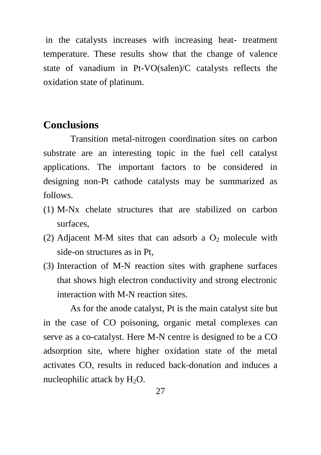in the catalysts increases with increasing heat- treatment temperature. These results show that the change of valence state of vanadium in Pt-VO(salen)/C catalysts reflects the oxidation state of platinum.

# **Conclusions**

Transition metal-nitrogen coordination sites on carbon substrate are an interesting topic in the fuel cell catalyst applications. The important factors to be considered in designing non-Pt cathode catalysts may be summarized as follows.

- (1) M-Nx chelate structures that are stabilized on carbon surfaces,
- (2) Adjacent M-M sites that can adsorb a  $O_2$  molecule with side-on structures as in Pt,
- (3) Interaction of M-N reaction sites with graphene surfaces that shows high electron conductivity and strong electronic interaction with M-N reaction sites.

As for the anode catalyst, Pt is the main catalyst site but in the case of CO poisoning, organic metal complexes can serve as a co-catalyst. Here M-N centre is designed to be a CO adsorption site, where higher oxidation state of the metal activates CO, results in reduced back-donation and induces a nucleophilic attack by  $H_2O$ .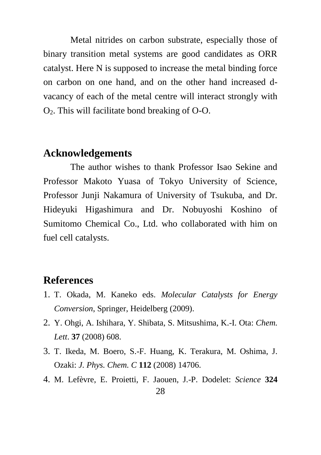Metal nitrides on carbon substrate, especially those of binary transition metal systems are good candidates as ORR catalyst. Here N is supposed to increase the metal binding force on carbon on one hand, and on the other hand increased dvacancy of each of the metal centre will interact strongly with  $O<sub>2</sub>$ . This will facilitate bond breaking of O-O.

### **Acknowledgements**

The author wishes to thank Professor Isao Sekine and Professor Makoto Yuasa of Tokyo University of Science, Professor Junji Nakamura of University of Tsukuba, and Dr. Hideyuki Higashimura and Dr. Nobuyoshi Koshino of Sumitomo Chemical Co., Ltd. who collaborated with him on fuel cell catalysts.

# **References**

- 1. T. Okada, M. Kaneko eds. *Molecular Catalysts for Energy Conversion*, Springer, Heidelberg (2009).
- 2. Y. Ohgi, A. Ishihara, Y. Shibata, S. Mitsushima, K.-I. Ota: *Chem. Lett*. **37** (2008) 608.
- 3. T. Ikeda, M. Boero, S.-F. Huang, K. Terakura, M. Oshima, J. Ozaki: *J. Phys. Chem. C* **112** (2008) 14706.
- 4. M. Lefèvre, E. Proietti, F. Jaouen, J.-P. Dodelet: *Science* **324**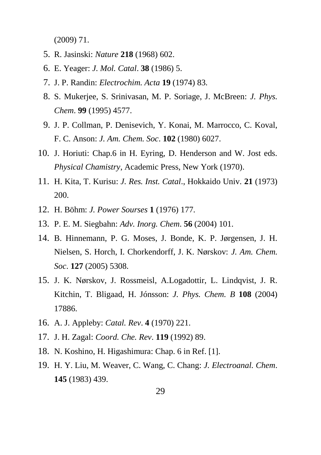(2009) 71.

- 5. R. Jasinski: *Nature* **218** (1968) 602.
- 6. E. Yeager: *J. Mol. Catal*. **38** (1986) 5.
- 7. J. P. Randin: *Electrochim. Acta* **19** (1974) 83.
- 8. S. Mukerjee, S. Srinivasan, M. P. Soriage, J. McBreen: *J. Phys. Chem*. **99** (1995) 4577.
- 9. J. P. Collman, P. Denisevich, Y. Konai, M. Marrocco, C. Koval, F. C. Anson: *J. Am. Chem. Soc*. **102** (1980) 6027.
- 10. J. Horiuti: Chap.6 in H. Eyring, D. Henderson and W. Jost eds. *Physical Chamistry*, Academic Press, New York (1970).
- 11. H. Kita, T. Kurisu: *J. Res. Inst. Catal*., Hokkaido Univ. **21** (1973) 200.
- 12. H. Böhm: *J. Power Sourses* **1** (1976) 177.
- 13. P. E. M. Siegbahn: *Adv. Inorg. Chem*. **56** (2004) 101.
- 14. B. Hinnemann, P. G. Moses, J. Bonde, K. P. Jørgensen, J. H. Nielsen, S. Horch, I. Chorkendorff, J. K. Nørskov: *J. Am. Chem. Soc*. **127** (2005) 5308.
- 15. J. K. Nørskov, J. Rossmeisl, A.Logadottir, L. Lindqvist, J. R. Kitchin, T. Bligaad, H. Jónsson: *J. Phys. Chem. B* **108** (2004) 17886.
- 16. A. J. Appleby: *Catal. Rev*. **4** (1970) 221.
- 17. J. H. Zagal: *Coord. Che. Rev*. **119** (1992) 89.
- 18. N. Koshino, H. Higashimura: Chap. 6 in Ref. [1].
- 19. H. Y. Liu, M. Weaver, C. Wang, C. Chang: *J. Electroanal. Chem*. **145** (1983) 439.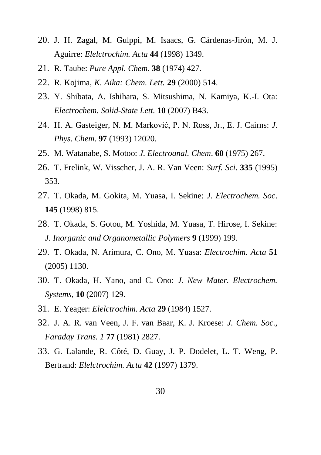- 20. J. H. Zagal, M. Gulppi, M. Isaacs, G. Cárdenas-Jirón, M. J. Aguirre: *Elelctrochim. Acta* **44** (1998) 1349.
- 21. R. Taube: *Pure Appl. Chem*. **38** (1974) 427.
- 22. R. Kojima, *K. Aika: Chem. Lett.* **29** (2000) 514.
- 23. Y. Shibata, A. Ishihara, S. Mitsushima, N. Kamiya, K.-I. Ota: *Electrochem. Solid-State Lett.* **10** (2007) B43.
- 24. H. A. Gasteiger, N. M. Marković, P. N. Ross, Jr., E. J. Cairns: *J. Phys. Chem*. **97** (1993) 12020.
- 25. M. Watanabe, S. Motoo: *J. Electroanal. Chem*. **60** (1975) 267.
- 26. T. Frelink, W. Visscher, J. A. R. Van Veen: *Surf. Sci*. **335** (1995) 353.
- 27. T. Okada, M. Gokita, M. Yuasa, I. Sekine: *J. Electrochem. Soc*. **145** (1998) 815.
- 28. T. Okada, S. Gotou, M. Yoshida, M. Yuasa, T. Hirose, I. Sekine: *J. Inorganic and Organometallic Polymers* **9** (1999) 199.
- 29. T. Okada, N. Arimura, C. Ono, M. Yuasa: *Electrochim. Acta* **51** (2005) 1130.
- 30. T. Okada, H. Yano, and C. Ono: *J. New Mater. Electrochem. Systems*, **10** (2007) 129.
- 31. E. Yeager: *Elelctrochim. Acta* **29** (1984) 1527.
- 32. J. A. R. van Veen, J. F. van Baar, K. J. Kroese: *J. Chem. Soc., Faraday Trans. 1* **77** (1981) 2827.
- 33. G. Lalande, R. Côté, D. Guay, J. P. Dodelet, L. T. Weng, P. Bertrand: *Elelctrochim. Acta* **42** (1997) 1379.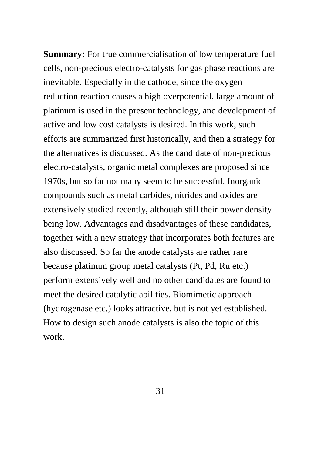**Summary:** For true commercialisation of low temperature fuel cells, non-precious electro-catalysts for gas phase reactions are inevitable. Especially in the cathode, since the oxygen reduction reaction causes a high overpotential, large amount of platinum is used in the present technology, and development of active and low cost catalysts is desired. In this work, such efforts are summarized first historically, and then a strategy for the alternatives is discussed. As the candidate of non-precious electro-catalysts, organic metal complexes are proposed since 1970s, but so far not many seem to be successful. Inorganic compounds such as metal carbides, nitrides and oxides are extensively studied recently, although still their power density being low. Advantages and disadvantages of these candidates, together with a new strategy that incorporates both features are also discussed. So far the anode catalysts are rather rare because platinum group metal catalysts (Pt, Pd, Ru etc.) perform extensively well and no other candidates are found to meet the desired catalytic abilities. Biomimetic approach (hydrogenase etc.) looks attractive, but is not yet established. How to design such anode catalysts is also the topic of this work.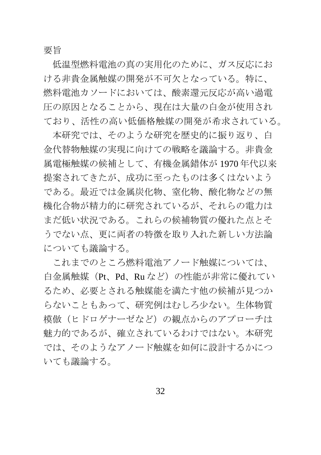要旨

低温型燃料電池の真の実用化のために、ガス反応にお ける非貴金属触媒の開発が不可欠となっている。特に、 燃料電池カソードにおいては、酸素還元反応が高い過電 圧の原因となることから、現在は大量の白金が使用され ており、活性の高い低価格触媒の開発が希求されている。

本研究では、そのような研究を歴史的に振り返り、白 金代替物触媒の実現に向けての戦略を議論する。非貴金 属電極触媒の候補として、有機金属錯体が 1970 年代以来 提案されてきたが、成功に至ったものは多くはないよう である。最近では金属炭化物、窒化物、酸化物などの無 機化合物が精力的に研究されているが、それらの電力は まだ低い状況である。これらの候補物質の優れた点とそ うでない点、更に両者の特徴を取り入れた新しい方法論 についても議論する。

これまでのところ燃料電池アノード触媒については、 白金属触媒(Pt、Pd、Ru など)の性能が非常に優れてい るため、必要とされる触媒能を満たす他の候補が見つか らないこともあって、研究例はむしろ少ない。生体物質 模倣(ヒドロゲナーゼなど)の観点からのアプローチは 魅力的であるが、確立されているわけではない。本研究 では、そのようなアノード触媒を如何に設計するかにつ いても議論する。

32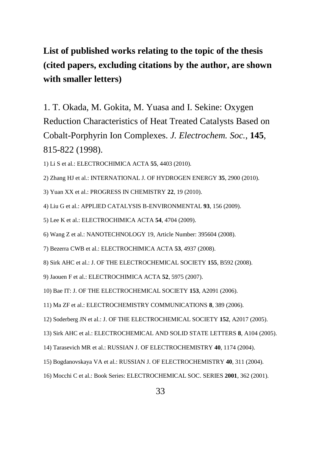# **List of published works relating to the topic of the thesis (cited papers, excluding citations by the author, are shown with smaller letters)**

1. T. Okada, M. Gokita, M. Yuasa and I. Sekine: Oxygen Reduction Characteristics of Heat Treated Catalysts Based on Cobalt-Porphyrin Ion Complexes. *J. Electrochem. Soc.*, **145**, 815-822 (1998).

1) Li S et al.: ELECTROCHIMICA ACTA **55**, 4403 (2010).

2) Zhang HJ et al.: INTERNATIONAL J. OF HYDROGEN ENERGY **35**, 2900 (2010).

3) Yuan XX et al.: PROGRESS IN CHEMISTRY **22**, 19 (2010).

4) Liu G et al.: APPLIED CATALYSIS B-ENVIRONMENTAL **93**, 156 (2009).

5) Lee K et al.: ELECTROCHIMICA ACTA **54**, 4704 (2009).

6) Wang Z et al.: NANOTECHNOLOGY 19, Article Number: 395604 (2008).

7) Bezerra CWB et al.: ELECTROCHIMICA ACTA **53**, 4937 (2008).

8) Sirk AHC et al.: J. OF THE ELECTROCHEMICAL SOCIETY **155**, B592 (2008).

9) Jaouen F et al.: ELECTROCHIMICA ACTA **52**, 5975 (2007).

10) Bae IT: J. OF THE ELECTROCHEMICAL SOCIETY **153**, A2091 (2006).

11) Ma ZF et al.: ELECTROCHEMISTRY COMMUNICATIONS **8**, 389 (2006).

12) Soderberg JN et al.: J. OF THE ELECTROCHEMICAL SOCIETY **152**, A2017 (2005).

13) Sirk AHC et al.: ELECTROCHEMICAL AND SOLID STATE LETTERS **8**, A104 (2005).

14) Tarasevich MR et al.: RUSSIAN J. OF ELECTROCHEMISTRY **40**, 1174 (2004).

15) Bogdanovskaya VA et al.: RUSSIAN J. OF ELECTROCHEMISTRY **40**, 311 (2004).

16) Mocchi C et al.: Book Series: ELECTROCHEMICAL SOC. SERIES **2001**, 362 (2001).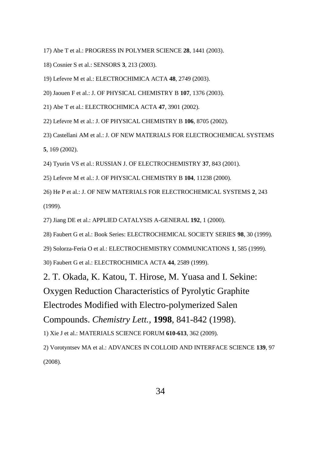- 17) Abe T et al.: PROGRESS IN POLYMER SCIENCE **28**, 1441 (2003).
- 18) Cosnier S et al.: SENSORS **3**, 213 (2003).
- 19) Lefevre M et al.: ELECTROCHIMICA ACTA **48**, 2749 (2003).
- 20) Jaouen F et al.: J. OF PHYSICAL CHEMISTRY B **107**, 1376 (2003).
- 21) Abe T et al.: ELECTROCHIMICA ACTA **47**, 3901 (2002).
- 22) Lefevre M et al.: J. OF PHYSICAL CHEMISTRY B **106**, 8705 (2002).
- 23) Castellani AM et al.: J. OF NEW MATERIALS FOR ELECTROCHEMICAL SYSTEMS **5**, 169 (2002).
- 24) Tyurin VS et al.: RUSSIAN J. OF ELECTROCHEMISTRY **37**, 843 (2001).
- 25) Lefevre M et al.: J. OF PHYSICAL CHEMISTRY B **104**, 11238 (2000).
- 26) He P et al.: J. OF NEW MATERIALS FOR ELECTROCHEMICAL SYSTEMS **2**, 243 (1999).
- 27) Jiang DE et al.: APPLIED CATALYSIS A-GENERAL **192**, 1 (2000).
- 28) Faubert G et al.: Book Series: ELECTROCHEMICAL SOCIETY SERIES **98**, 30 (1999).
- 29) Solorza-Feria O et al.: ELECTROCHEMISTRY COMMUNICATIONS **1**, 585 (1999).
- 30) Faubert G et al.: ELECTROCHIMICA ACTA **44**, 2589 (1999).
- 2. T. Okada, K. Katou, T. Hirose, M. Yuasa and I. Sekine:

Oxygen Reduction Characteristics of Pyrolytic Graphite

Electrodes Modified with Electro-polymerized Salen

Compounds. *Chemistry Lett.*, **1998**, 841-842 (1998).

1) Xie J et al.: MATERIALS SCIENCE FORUM **610-613**, 362 (2009).

2) Vorotyntsev MA et al.: ADVANCES IN COLLOID AND INTERFACE SCIENCE **139**, 97 (2008).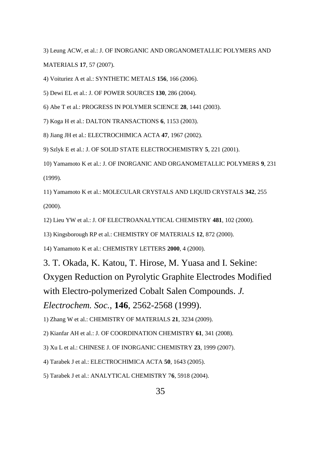3) Leung ACW, et al.: J. OF INORGANIC AND ORGANOMETALLIC POLYMERS AND MATERIALS **17**, 57 (2007).

4) Voituriez A et al.: SYNTHETIC METALS **156**, 166 (2006).

5) Dewi EL et al.: J. OF POWER SOURCES **130**, 286 (2004).

6) Abe T et al.: PROGRESS IN POLYMER SCIENCE **28**, 1441 (2003).

7) Koga H et al.: DALTON TRANSACTIONS **6**, 1153 (2003).

8) Jiang JH et al.: ELECTROCHIMICA ACTA **47**, 1967 (2002).

9) Szlyk E et al.: J. OF SOLID STATE ELECTROCHEMISTRY **5**, 221 (2001).

10) Yamamoto K et al.: J. OF INORGANIC AND ORGANOMETALLIC POLYMERS **9**, 231 (1999).

11) Yamamoto K et al.: MOLECULAR CRYSTALS AND LIQUID CRYSTALS **342**, 255 (2000).

12) Lieu YW et al.: J. OF ELECTROANALYTICAL CHEMISTRY **481**, 102 (2000).

13) Kingsborough RP et al.: CHEMISTRY OF MATERIALS **12**, 872 (2000).

14) Yamamoto K et al.: CHEMISTRY LETTERS **2000**, 4 (2000).

3. T. Okada, K. Katou, T. Hirose, M. Yuasa and I. Sekine: Oxygen Reduction on Pyrolytic Graphite Electrodes Modified with Electro-polymerized Cobalt Salen Compounds. *J. Electrochem. Soc.*, **146**, 2562-2568 (1999).

1) Zhang W et al.: CHEMISTRY OF MATERIALS **21**, 3234 (2009).

2) Kianfar AH et al.: J. OF COORDINATION CHEMISTRY **61**, 341 (2008).

3) Xu L et al.: CHINESE J. OF INORGANIC CHEMISTRY **23**, 1999 (2007).

4) Tarabek J et al.: ELECTROCHIMICA ACTA **50**, 1643 (2005).

5) Tarabek J et al.: ANALYTICAL CHEMISTRY 7**6**, 5918 (2004).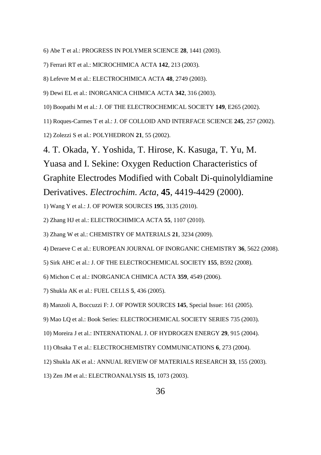- 6) Abe T et al.: PROGRESS IN POLYMER SCIENCE **28**, 1441 (2003).
- 7) Ferrari RT et al.: MICROCHIMICA ACTA **142**, 213 (2003).
- 8) Lefevre M et al.: ELECTROCHIMICA ACTA **48**, 2749 (2003).
- 9) Dewi EL et al.: INORGANICA CHIMICA ACTA **342**, 316 (2003).
- 10) Boopathi M et al.: J. OF THE ELECTROCHEMICAL SOCIETY **149**, E265 (2002).
- 11) Roques-Carmes T et al.: J. OF COLLOID AND INTERFACE SCIENCE **245**, 257 (2002).
- 12) Zolezzi S et al.: POLYHEDRON **21**, 55 (2002).
- 4. T. Okada, Y. Yoshida, T. Hirose, K. Kasuga, T. Yu, M.

Yuasa and I. Sekine: Oxygen Reduction Characteristics of Graphite Electrodes Modified with Cobalt Di-quinolyldiamine Derivatives. *Electrochim. Acta*, **45**, 4419-4429 (2000).

1) Wang Y et al.: J. OF POWER SOURCES **195**, 3135 (2010).

2) Zhang HJ et al.: ELECTROCHIMICA ACTA **55**, 1107 (2010).

3) Zhang W et al.: CHEMISTRY OF MATERIALS **21**, 3234 (2009).

4) Deraeve C et al.: EUROPEAN JOURNAL OF INORGANIC CHEMISTRY **36**, 5622 (2008).

- 5) Sirk AHC et al.: J. OF THE ELECTROCHEMICAL SOCIETY **155**, B592 (2008).
- 6) Michon C et al.: INORGANICA CHIMICA ACTA **359**, 4549 (2006).
- 7) Shukla AK et al.: FUEL CELLS **5**, 436 (2005).
- 8) Manzoli A, Boccuzzi F: J. OF POWER SOURCES **145**, Special Issue: 161 (2005).
- 9) Mao LQ et al.: Book Series: ELECTROCHEMICAL SOCIETY SERIES 735 (2003).
- 10) Moreira J et al.: INTERNATIONAL J. OF HYDROGEN ENERGY **29**, 915 (2004).
- 11) Ohsaka T et al.: ELECTROCHEMISTRY COMMUNICATIONS **6**, 273 (2004).
- 12) Shukla AK et al.: ANNUAL REVIEW OF MATERIALS RESEARCH **33**, 155 (2003).
- 13) Zen JM et al.: ELECTROANALYSIS **15**, 1073 (2003).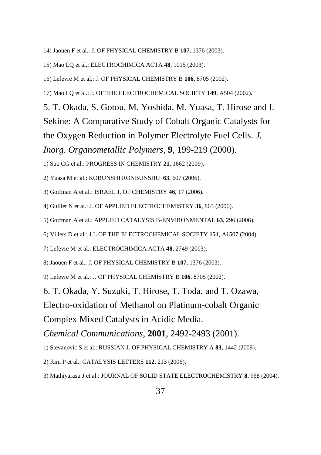14) Jaouen F et al.: J. OF PHYSICAL CHEMISTRY B **107**, 1376 (2003).

15) Mao LQ et al.: ELECTROCHIMICA ACTA **48**, 1015 (2003).

16) Lefevre M et al.: J. OF PHYSICAL CHEMISTRY B **106**, 8705 (2002).

17) Mao LQ et al.: J. OF THE ELECTROCHEMICAL SOCIETY **149**, A504 (2002).

5. T. Okada, S. Gotou, M. Yoshida, M. Yuasa, T. Hirose and I. Sekine: A Comparative Study of Cobalt Organic Catalysts for the Oxygen Reduction in Polymer Electrolyte Fuel Cells. *J. Inorg. Organometallic Polymers*, **9**, 199-219 (2000).

1) Suo CG et al.: PROGRESS IN CHEMISTRY **21**, 1662 (2009).

2) Yuasa M et al.: KOBUNSHI RONBUNSHU **63**, 607 (2006).

3) Goifman A et al.: ISRAEL J. OF CHEMISTRY **46**, 17 (2006).

4) Guillet N et al.: J. OF APPLIED ELECTROCHEMISTRY **36**, 863 (2006).

5) Goifman A et al.: APPLIED CATALYSIS B-ENVIRONMENTAL **63**, 296 (2006).

6) Villers D et al.: J.L OF THE ELECTROCHEMICAL SOCIETY **151**, A1507 (2004).

7) Lefevre M et al.: ELECTROCHIMICA ACTA **48**, 2749 (2003).

8) Jaouen F et al.: J. OF PHYSICAL CHEMISTRY B **107**, 1376 (2003).

9) Lefevre M et al.: J. OF PHYSICAL CHEMISTRY B **106**, 8705 (2002).

6. T. Okada, Y. Suzuki, T. Hirose, T. Toda, and T. Ozawa,

Electro-oxidation of Methanol on Platinum-cobalt Organic

Complex Mixed Catalysts in Acidic Media.

*Chemical Communications*, **2001**, 2492-2493 (2001).

1) Stevanovic S et al.: RUSSIAN J. OF PHYSICAL CHEMISTRY A **83**, 1442 (2009).

2) Kim P et al.: CATALYSIS LETTERS **112**, 213 (2006).

3) Mathiyarasu J et al.: JOURNAL OF SOLID STATE ELECTROCHEMISTRY **8**, 968 (2004).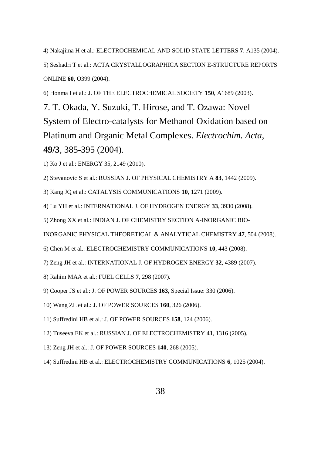4) Nakajima H et al.: ELECTROCHEMICAL AND SOLID STATE LETTERS **7**. A135 (2004).

5) Seshadri T et al.: ACTA CRYSTALLOGRAPHICA SECTION E-STRUCTURE REPORTS ONLINE **60**, O399 (2004).

6) Honma I et al.: J. OF THE ELECTROCHEMICAL SOCIETY **150**, A1689 (2003).

7. T. Okada, Y. Suzuki, T. Hirose, and T. Ozawa: Novel System of Electro-catalysts for Methanol Oxidation based on Platinum and Organic Metal Complexes. *Electrochim. Acta*, **49/3**, 385-395 (2004).

1) Ko J et al.: ENERGY 35, 2149 (2010).

2) Stevanovic S et al.: RUSSIAN J. OF PHYSICAL CHEMISTRY A **83**, 1442 (2009).

3) Kang JQ et al.: CATALYSIS COMMUNICATIONS **10**, 1271 (2009).

4) Lu YH et al.: INTERNATIONAL J. OF HYDROGEN ENERGY **33**, 3930 (2008).

5) Zhong XX et al.: INDIAN J. OF CHEMISTRY SECTION A-INORGANIC BIO-

INORGANIC PHYSICAL THEORETICAL & ANALYTICAL CHEMISTRY **47**, 504 (2008).

6) Chen M et al.: ELECTROCHEMISTRY COMMUNICATIONS **10**, 443 (2008).

7) Zeng JH et al.: INTERNATIONAL J. OF HYDROGEN ENERGY **32**, 4389 (2007).

8) Rahim MAA et al.: FUEL CELLS **7**, 298 (2007).

9) Cooper JS et al.: J. OF POWER SOURCES **163**, Special Issue: 330 (2006).

10) Wang ZL et al.: J. OF POWER SOURCES **160**, 326 (2006).

11) Suffredini HB et al.: J. OF POWER SOURCES **158**, 124 (2006).

12) Tuseeva EK et al.: RUSSIAN J. OF ELECTROCHEMISTRY **41**, 1316 (2005).

13) Zeng JH et al.: J. OF POWER SOURCES **140**, 268 (2005).

14) Suffredini HB et al.: ELECTROCHEMISTRY COMMUNICATIONS **6**, 1025 (2004).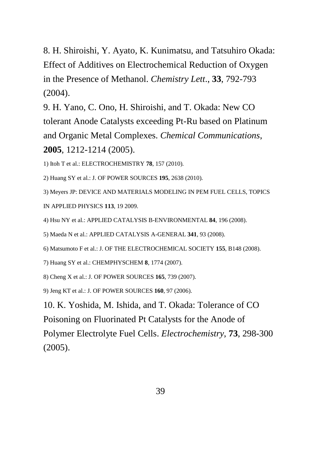8. H. Shiroishi, Y. Ayato, K. Kunimatsu, and Tatsuhiro Okada: Effect of Additives on Electrochemical Reduction of Oxygen in the Presence of Methanol. *Chemistry Lett*., **33**, 792-793 (2004).

9. H. Yano, C. Ono, H. Shiroishi, and T. Okada: New CO tolerant Anode Catalysts exceeding Pt-Ru based on Platinum and Organic Metal Complexes. *Chemical Communications*, **2005**, 1212-1214 (2005).

1) Itoh T et al.: ELECTROCHEMISTRY **78**, 157 (2010).

2) Huang SY et al.: J. OF POWER SOURCES **195**, 2638 (2010).

3) Meyers JP: DEVICE AND MATERIALS MODELING IN PEM FUEL CELLS, TOPICS IN APPLIED PHYSICS **113**, 19 2009.

4) Hsu NY et al.: APPLIED CATALYSIS B-ENVIRONMENTAL **84**, 196 (2008).

5) Maeda N et al.: APPLIED CATALYSIS A-GENERAL **341**, 93 (2008).

6) Matsumoto F et al.: J. OF THE ELECTROCHEMICAL SOCIETY **155**, B148 (2008).

7) Huang SY et al.: CHEMPHYSCHEM **8**, 1774 (2007).

8) Cheng X et al.: J. OF POWER SOURCES **165**, 739 (2007).

9) Jeng KT et al.: J. OF POWER SOURCES **160**, 97 (2006).

10. K. Yoshida, M. Ishida, and T. Okada: Tolerance of CO Poisoning on Fluorinated Pt Catalysts for the Anode of Polymer Electrolyte Fuel Cells. *Electrochemistry*, **73**, 298-300 (2005).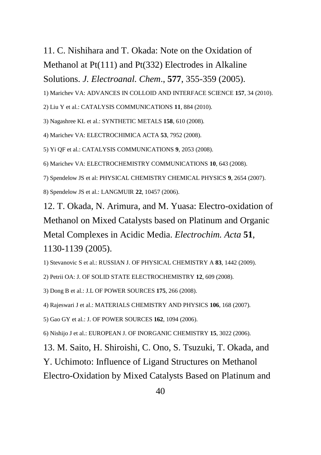# 11. C. Nishihara and T. Okada: Note on the Oxidation of Methanol at Pt(111) and Pt(332) Electrodes in Alkaline Solutions. *J. Electroanal. Chem*., **577**, 355-359 (2005).

1) Marichev VA: ADVANCES IN COLLOID AND INTERFACE SCIENCE **157**, 34 (2010).

2) Liu Y et al.: CATALYSIS COMMUNICATIONS **11**, 884 (2010).

3) Nagashree KL et al.: SYNTHETIC METALS **158**, 610 (2008).

4) Marichev VA: ELECTROCHIMICA ACTA **53**, 7952 (2008).

5) Yi QF et al.: CATALYSIS COMMUNICATIONS **9**, 2053 (2008).

6) Marichev VA: ELECTROCHEMISTRY COMMUNICATIONS **10**, 643 (2008).

7) Spendelow JS et al: PHYSICAL CHEMISTRY CHEMICAL PHYSICS **9**, 2654 (2007).

8) Spendelow JS et al.: LANGMUIR **22**, 10457 (2006).

12. T. Okada, N. Arimura, and M. Yuasa: Electro-oxidation of Methanol on Mixed Catalysts based on Platinum and Organic Metal Complexes in Acidic Media. *Electrochim. Acta* **51**, 1130-1139 (2005).

1) Stevanovic S et al.: RUSSIAN J. OF PHYSICAL CHEMISTRY A **83**, 1442 (2009).

2) Petrii OA: J. OF SOLID STATE ELECTROCHEMISTRY **12**, 609 (2008).

3) Dong B et al.: J.L OF POWER SOURCES **175**, 266 (2008).

4) Rajeswari J et al.: MATERIALS CHEMISTRY AND PHYSICS **106**, 168 (2007).

5) Gao GY et al.: J. OF POWER SOURCES **162**, 1094 (2006).

6) Nishijo J et al.: EUROPEAN J. OF INORGANIC CHEMISTRY **15**, 3022 (2006).

13. M. Saito, H. Shiroishi, C. Ono, S. Tsuzuki, T. Okada, and

Y. Uchimoto: Influence of Ligand Structures on Methanol

Electro-Oxidation by Mixed Catalysts Based on Platinum and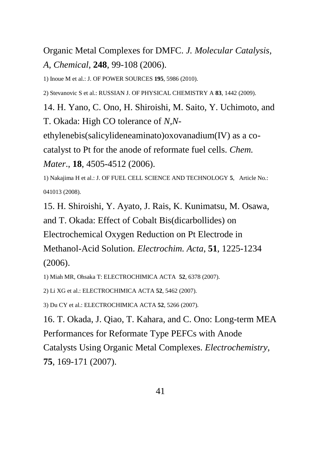Organic Metal Complexes for DMFC. *J. Molecular Catalysis, A, Chemical*, **248**, 99-108 (2006).

1) Inoue M et al.: J. OF POWER SOURCES **195**, 5986 (2010).

2) Stevanovic S et al.: RUSSIAN J. OF PHYSICAL CHEMISTRY A **83**, 1442 (2009).

14. H. Yano, C. Ono, H. Shiroishi, M. Saito, Y. Uchimoto, and T. Okada: High CO tolerance of *N,N*-

ethylenebis(salicylideneaminato)oxovanadium(IV) as a co-

catalyst to Pt for the anode of reformate fuel cells. *Chem.* 

*Mater*., **18**, 4505-4512 (2006).

1) Nakajima H et al.: J. OF FUEL CELL SCIENCE AND TECHNOLOGY **5**, Article No.: 041013 (2008).

15. H. Shiroishi, Y. Ayato, J. Rais, K. Kunimatsu, M. Osawa, and T. Okada: Effect of Cobalt Bis(dicarbollides) on Electrochemical Oxygen Reduction on Pt Electrode in Methanol-Acid Solution. *Electrochim. Acta*, **51**, 1225-1234 (2006).

1) Miah MR, Ohsaka T: ELECTROCHIMICA ACTA **52**, 6378 (2007).

2) Li XG et al.: ELECTROCHIMICA ACTA **52**, 5462 (2007).

3) Du CY et al.: ELECTROCHIMICA ACTA **52**, 5266 (2007).

16. T. Okada, J. Qiao, T. Kahara, and C. Ono: Long-term MEA Performances for Reformate Type PEFCs with Anode

Catalysts Using Organic Metal Complexes. *Electrochemistry*, **75**, 169-171 (2007).